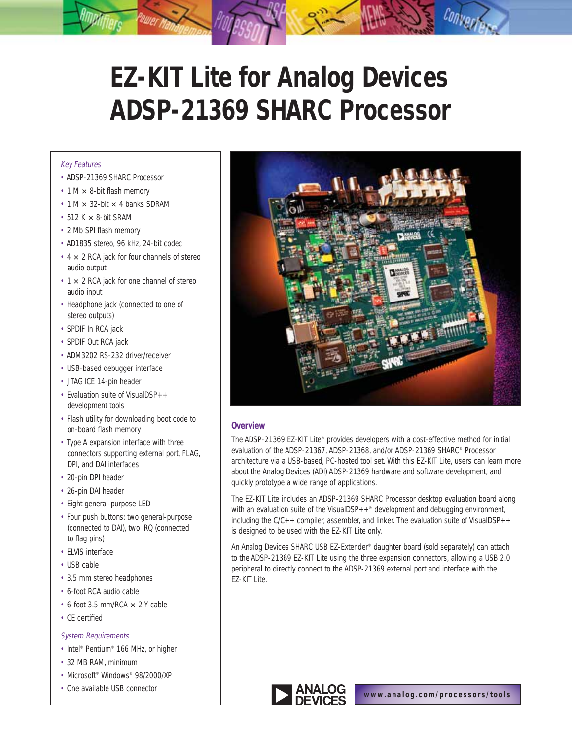# **EZ-KIT Lite for Analog Devices ADSP-21369 SHARC Processor**

## Key Features

- ADSP-21369 SHARC Processor
- $\cdot$  1 M  $\times$  8-bit flash memory
- $\cdot$  1 M  $\times$  32-bit  $\times$  4 banks SDRAM
- $\cdot$  512 K  $\times$  8-bit SRAM
- 2 Mb SPI flash memory
- AD1835 stereo, 96 kHz, 24-bit codec
- $\cdot$  4  $\times$  2 RCA jack for four channels of stereo audio output
- $\cdot$  1  $\times$  2 RCA jack for one channel of stereo audio input
- Headphone jack (connected to one of stereo outputs)
- SPDIF In RCA jack
- SPDIF Out RCA jack
- ADM3202 RS-232 driver/receiver
- USB-based debugger interface
- JTAG ICE 14-pin header
- Evaluation suite of VisualDSP++ development tools
- Flash utility for downloading boot code to on-board flash memory
- Type A expansion interface with three connectors supporting external port, FLAG, DPI, and DAI interfaces
- 20-pin DPI header
- 26-pin DAI header
- Eight general-purpose LED
- Four push buttons: two general-purpose (connected to DAI), two IRQ (connected to flag pins)
- ELVIS interface
- USB cable
- 3.5 mm stereo headphones
- 6-foot RCA audio cable
- $\cdot$  6-foot 3.5 mm/RCA  $\times$  2 Y-cable
- CE certified

### System Requirements

- Intel® Pentium® 166 MHz, or higher
- 32 MB RAM, minimum
- Microsoft<sup>®</sup> Windows<sup>®</sup> 98/2000/XP
- One available USB connector



# **Overview**

The ADSP-21369 EZ-KIT Lite® provides developers with a cost-effective method for initial evaluation of the ADSP-21367, ADSP-21368, and/or ADSP-21369 SHARC® Processor architecture via a USB-based, PC-hosted tool set. With this EZ-KIT Lite, users can learn more about the Analog Devices (ADI) ADSP-21369 hardware and software development, and quickly prototype a wide range of applications.

The EZ-KIT Lite includes an ADSP-21369 SHARC Processor desktop evaluation board along with an evaluation suite of the VisualDSP $++$ <sup>®</sup> development and debugging environment, including the C/C++ compiler, assembler, and linker. The evaluation suite of VisualDSP++ is designed to be used with the EZ-KIT Lite only.

An Analog Devices SHARC USB EZ-Extender® daughter board (sold separately) can attach to the ADSP-21369 EZ-KIT Lite using the three expansion connectors, allowing a USB 2.0 peripheral to directly connect to the ADSP-21369 external port and interface with the EZ-KIT Lite.